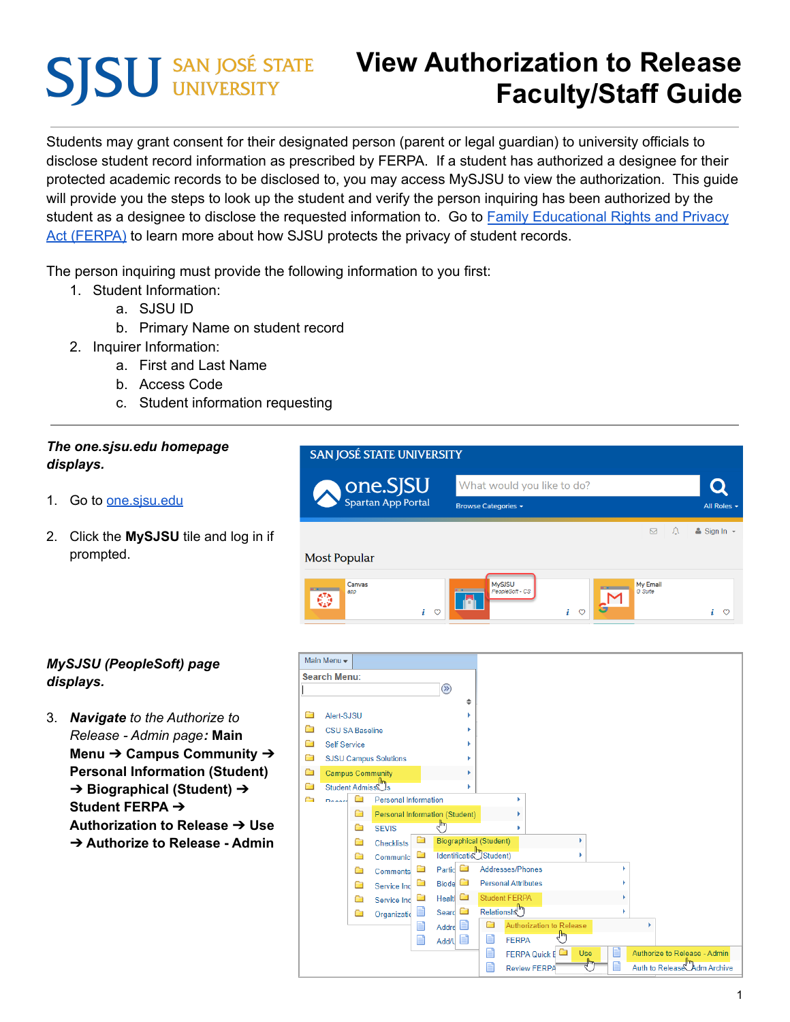# **SJSU** SAN JOSÉ STATE

# **View Authorization to Release Faculty/Staff Guide**

Students may grant consent for their designated person (parent or legal guardian) to university officials to disclose student record information as prescribed by FERPA. If a student has authorized a designee for their protected academic records to be disclosed to, you may access MySJSU to view the authorization. This guide will provide you the steps to look up the student and verify the person inquiring has been authorized by the student as a designee to disclose the requested information to. Go to Family [Educational](https://www.sjsu.edu/registrar/academic-records/ferpa.php) Rights and Privacy Act [\(FERPA\)](https://www.sjsu.edu/registrar/academic-records/ferpa.php) to learn more about how SJSU protects the privacy of student records.

The person inquiring must provide the following information to you first:

- 1. Student Information:
	- a. SJSU ID
	- b. Primary Name on student record
- 2. Inquirer Information:
	- a. First and Last Name
	- b. Access Code
	- c. Student information requesting

## *The one.sjsu.edu homepage displays.*

- 1. Go to one sisu edu
- 2. Click the **MySJSU** tile and log in if prompted.



#### *MySJSU (PeopleSoft) page displays.*

3. *Navigate to the Authorize to Release - Admin page:* **Main Menu** ➔ **Campus Community** ➔ **Personal Information (Student)** ➔ **Biographical (Student)** ➔ **Student FERPA** ➔ **Authorization to Release** ➔ **Use** ➔ **Authorize to Release - Admin**

|                                   | Main Menu -                  |   |                                       |   |                    |   |                                       |                                  |     |   |                                |
|-----------------------------------|------------------------------|---|---------------------------------------|---|--------------------|---|---------------------------------------|----------------------------------|-----|---|--------------------------------|
| <b>Search Menu:</b>               |                              |   |                                       |   |                    |   |                                       |                                  |     |   |                                |
|                                   |                              |   |                                       |   | $\circledR$        |   |                                       |                                  |     |   |                                |
|                                   |                              |   |                                       |   |                    | ÷ |                                       |                                  |     |   |                                |
| ∍                                 | Alert-SJSU                   |   |                                       |   |                    |   |                                       |                                  |     |   |                                |
| <b>CSU SA Baseline</b>            |                              |   |                                       |   |                    |   |                                       |                                  |     |   |                                |
| n<br><b>Self Service</b>          |                              |   |                                       |   |                    |   |                                       |                                  |     |   |                                |
| à<br><b>SJSU Campus Solutions</b> |                              |   |                                       |   |                    |   |                                       |                                  |     |   |                                |
| È                                 |                              |   | <b>Campus Community</b>               |   |                    |   |                                       |                                  |     |   |                                |
| n                                 | Student Admiss <sup>ms</sup> |   |                                       |   |                    |   |                                       |                                  |     |   |                                |
| a                                 | Doography                    |   | <b>Personal Information</b>           |   |                    |   | ь                                     |                                  |     |   |                                |
|                                   |                              | ▭ | <b>Personal Information (Student)</b> |   |                    |   |                                       |                                  |     |   |                                |
|                                   |                              | n | <b>SEVIS</b>                          |   | لسوام              |   |                                       |                                  |     |   |                                |
|                                   |                              | n | <b>Checklists</b>                     | ā |                    |   | <b>Biographical (Student)</b>         |                                  |     |   |                                |
|                                   |                              | n | Communic                              |   |                    |   | Identificatio <sup>lle</sup> Student) |                                  |     |   |                                |
|                                   |                              | n | Comments                              |   | Partic <b>C</b>    |   | Addresses/Phones                      |                                  |     |   |                                |
|                                   |                              | n | Service Ind                           |   | Biode <sup>1</sup> |   | <b>Personal Attributes</b>            |                                  |     |   |                                |
|                                   |                              | n | Service Ind                           |   | Healt $\Box$       |   | <b>Student FERPA</b>                  |                                  |     |   |                                |
|                                   |                              | Ò | Organizatio                           |   | Seard $\Box$       |   | Relationsh <sup>m</sup>               |                                  |     |   |                                |
|                                   |                              |   |                                       | ∎ | ≘<br>Addre         |   | Ò                                     | Authorization to Release<br>, Im |     |   |                                |
|                                   |                              |   |                                       | Ħ | Ei<br>Add/L        |   | E<br><b>FERPA</b>                     |                                  |     |   |                                |
|                                   |                              |   |                                       |   |                    |   | F                                     | FERPA Quick E                    | Use | Ħ | Authorize to Release - Admin   |
|                                   |                              |   |                                       |   |                    |   | Ë                                     | <b>Review FERPA</b>              | ╣   | É | Auth to Release<br>Adm Archive |